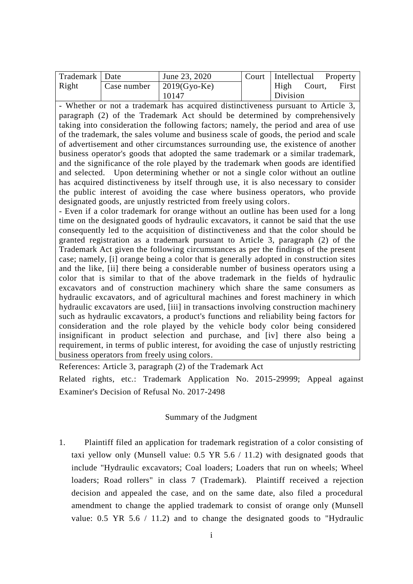| Trademark   Date |                                  | June 23, 2020 | Court   Intellectual |        | Property |
|------------------|----------------------------------|---------------|----------------------|--------|----------|
| Right            | Case number $\vert$ 2019(Gyo-Ke) |               | High                 | Court, | First    |
|                  |                                  | 10147         | Division             |        |          |

- Whether or not a trademark has acquired distinctiveness pursuant to Article 3, paragraph (2) of the Trademark Act should be determined by comprehensively taking into consideration the following factors; namely, the period and area of use of the trademark, the sales volume and business scale of goods, the period and scale of advertisement and other circumstances surrounding use, the existence of another business operator's goods that adopted the same trademark or a similar trademark, and the significance of the role played by the trademark when goods are identified and selected. Upon determining whether or not a single color without an outline has acquired distinctiveness by itself through use, it is also necessary to consider the public interest of avoiding the case where business operators, who provide designated goods, are unjustly restricted from freely using colors.

- Even if a color trademark for orange without an outline has been used for a long time on the designated goods of hydraulic excavators, it cannot be said that the use consequently led to the acquisition of distinctiveness and that the color should be granted registration as a trademark pursuant to Article 3, paragraph (2) of the Trademark Act given the following circumstances as per the findings of the present case; namely, [i] orange being a color that is generally adopted in construction sites and the like, [ii] there being a considerable number of business operators using a color that is similar to that of the above trademark in the fields of hydraulic excavators and of construction machinery which share the same consumers as hydraulic excavators, and of agricultural machines and forest machinery in which hydraulic excavators are used, [iii] in transactions involving construction machinery such as hydraulic excavators, a product's functions and reliability being factors for consideration and the role played by the vehicle body color being considered insignificant in product selection and purchase, and [iv] there also being a requirement, in terms of public interest, for avoiding the case of unjustly restricting business operators from freely using colors.

References: Article 3, paragraph (2) of the Trademark Act

Related rights, etc.: Trademark Application No. 2015-29999; Appeal against Examiner's Decision of Refusal No. 2017-2498

# Summary of the Judgment

1. Plaintiff filed an application for trademark registration of a color consisting of taxi yellow only (Munsell value: 0.5 YR 5.6 / 11.2) with designated goods that include "Hydraulic excavators; Coal loaders; Loaders that run on wheels; Wheel loaders; Road rollers" in class 7 (Trademark). Plaintiff received a rejection decision and appealed the case, and on the same date, also filed a procedural amendment to change the applied trademark to consist of orange only (Munsell value: 0.5 YR 5.6 / 11.2) and to change the designated goods to "Hydraulic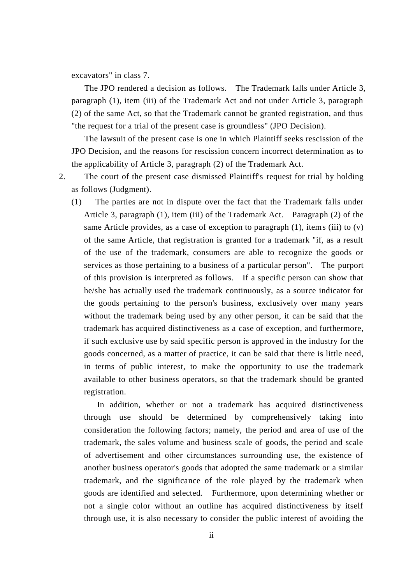excavators" in class 7.

 The JPO rendered a decision as follows. The Trademark falls under Article 3, paragraph (1), item (iii) of the Trademark Act and not under Article 3, paragraph (2) of the same Act, so that the Trademark cannot be granted registration, and thus "the request for a trial of the present case is groundless" (JPO Decision).

 The lawsuit of the present case is one in which Plaintiff seeks rescission of the JPO Decision, and the reasons for rescission concern incorrect determination as to the applicability of Article 3, paragraph (2) of the Trademark Act.

2. The court of the present case dismissed Plaintiff's request for trial by holding as follows (Judgment).

(1) The parties are not in dispute over the fact that the Trademark falls under Article 3, paragraph (1), item (iii) of the Trademark Act. Paragraph (2) of the same Article provides, as a case of exception to paragraph  $(1)$ , items  $(iii)$  to  $(v)$ of the same Article, that registration is granted for a trademark "if, as a result of the use of the trademark, consumers are able to recognize the goods or services as those pertaining to a business of a particular person". The purport of this provision is interpreted as follows. If a specific person can show that he/she has actually used the trademark continuously, as a source indicator for the goods pertaining to the person's business, exclusively over many years without the trademark being used by any other person, it can be said that the trademark has acquired distinctiveness as a case of exception, and furthermore, if such exclusive use by said specific person is approved in the industry for the goods concerned, as a matter of practice, it can be said that there is little need, in terms of public interest, to make the opportunity to use the trademark available to other business operators, so that the trademark should be granted registration.

 In addition, whether or not a trademark has acquired distinctiveness through use should be determined by comprehensively taking into consideration the following factors; namely, the period and area of use of the trademark, the sales volume and business scale of goods, the period and scale of advertisement and other circumstances surrounding use, the existence of another business operator's goods that adopted the same trademark or a similar trademark, and the significance of the role played by the trademark when goods are identified and selected. Furthermore, upon determining whether or not a single color without an outline has acquired distinctiveness by itself through use, it is also necessary to consider the public interest of avoiding the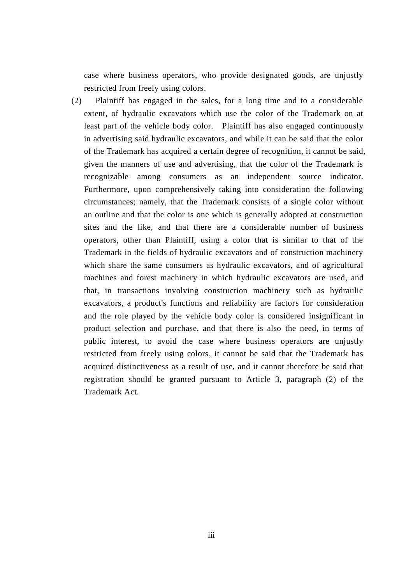case where business operators, who provide designated goods, are unjustly restricted from freely using colors.

(2) Plaintiff has engaged in the sales, for a long time and to a considerable extent, of hydraulic excavators which use the color of the Trademark on at least part of the vehicle body color. Plaintiff has also engaged continuously in advertising said hydraulic excavators, and while it can be said that the color of the Trademark has acquired a certain degree of recognition, it cannot be said, given the manners of use and advertising, that the color of the Trademark is recognizable among consumers as an independent source indicator. Furthermore, upon comprehensively taking into consideration the following circumstances; namely, that the Trademark consists of a single color without an outline and that the color is one which is generally adopted at construction sites and the like, and that there are a considerable number of business operators, other than Plaintiff, using a color that is similar to that of the Trademark in the fields of hydraulic excavators and of construction machinery which share the same consumers as hydraulic excavators, and of agricultural machines and forest machinery in which hydraulic excavators are used, and that, in transactions involving construction machinery such as hydraulic excavators, a product's functions and reliability are factors for consideration and the role played by the vehicle body color is considered insignificant in product selection and purchase, and that there is also the need, in terms of public interest, to avoid the case where business operators are unjustly restricted from freely using colors, it cannot be said that the Trademark has acquired distinctiveness as a result of use, and it cannot therefore be said that registration should be granted pursuant to Article 3, paragraph (2) of the Trademark Act.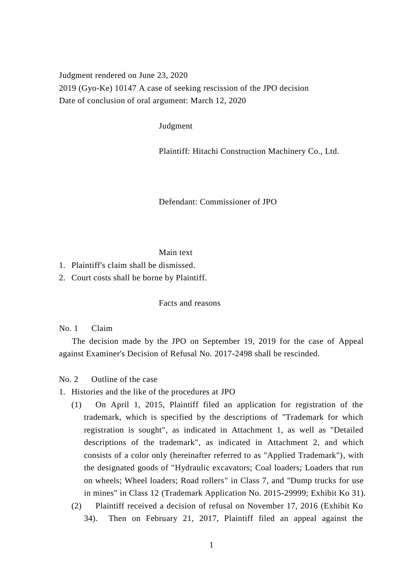Judgment rendered on June 23, 2020 2019 (Gyo-Ke) 10147 A case of seeking rescission of the JPO decision Date of conclusion of oral argument: March 12, 2020

Judgment

Plaintiff: Hitachi Construction Machinery Co., Ltd.

Defendant: Commissioner of JPO

### Main text

- 1. Plaintiff's claim shall be dismissed.
- 2. Court costs shall be borne by Plaintiff.

Facts and reasons

No. 1 Claim

 The decision made by the JPO on September 19, 2019 for the case of Appeal against Examiner's Decision of Refusal No. 2017-2498 shall be rescinded.

No. 2 Outline of the case

- 1. Histories and the like of the procedures at JPO
	- (1) On April 1, 2015, Plaintiff filed an application for registration of the trademark, which is specified by the descriptions of "Trademark for which registration is sought", as indicated in Attachment 1, as well as "Detailed descriptions of the trademark", as indicated in Attachment 2, and which consists of a color only (hereinafter referred to as "Applied Trademark"), with the designated goods of "Hydraulic excavators; Coal loaders; Loaders that run on wheels; Wheel loaders; Road rollers" in Class 7, and "Dump trucks for use in mines" in Class 12 (Trademark Application No. 2015-29999; Exhibit Ko 31).
	- (2) Plaintiff received a decision of refusal on November 17, 2016 (Exhibit Ko 34). Then on February 21, 2017, Plaintiff filed an appeal against the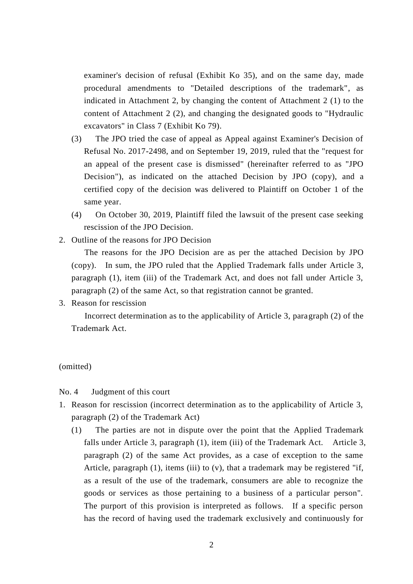examiner's decision of refusal (Exhibit Ko 35), and on the same day, made procedural amendments to "Detailed descriptions of the trademark", as indicated in Attachment 2, by changing the content of Attachment 2 (1) to the content of Attachment 2 (2), and changing the designated goods to "Hydraulic excavators" in Class 7 (Exhibit Ko 79).

- (3) The JPO tried the case of appeal as Appeal against Examiner's Decision of Refusal No. 2017-2498, and on September 19, 2019, ruled that the "request for an appeal of the present case is dismissed" (hereinafter referred to as "JPO Decision"), as indicated on the attached Decision by JPO (copy), and a certified copy of the decision was delivered to Plaintiff on October 1 of the same year.
- (4) On October 30, 2019, Plaintiff filed the lawsuit of the present case seeking rescission of the JPO Decision.
- 2. Outline of the reasons for JPO Decision

 The reasons for the JPO Decision are as per the attached Decision by JPO (copy). In sum, the JPO ruled that the Applied Trademark falls under Article 3, paragraph (1), item (iii) of the Trademark Act, and does not fall under Article 3, paragraph (2) of the same Act, so that registration cannot be granted.

3. Reason for rescission

 Incorrect determination as to the applicability of Article 3, paragraph (2) of the Trademark Act.

### (omitted)

No. 4 Judgment of this court

- 1. Reason for rescission (incorrect determination as to the applicability of Article 3, paragraph (2) of the Trademark Act)
	- (1) The parties are not in dispute over the point that the Applied Trademark falls under Article 3, paragraph (1), item (iii) of the Trademark Act. Article 3, paragraph (2) of the same Act provides, as a case of exception to the same Article, paragraph  $(1)$ , items  $(iii)$  to  $(v)$ , that a trademark may be registered "if, as a result of the use of the trademark, consumers are able to recognize the goods or services as those pertaining to a business of a particular person". The purport of this provision is interpreted as follows. If a specific person has the record of having used the trademark exclusively and continuously for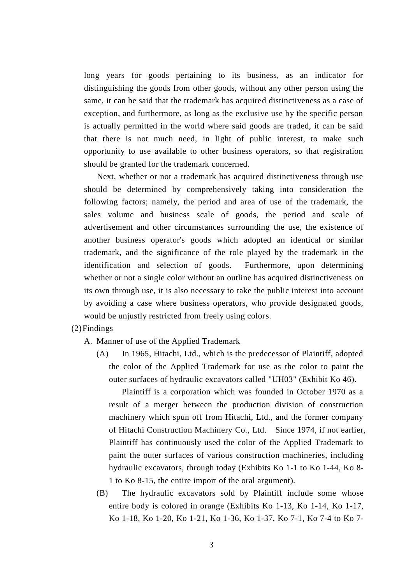long years for goods pertaining to its business, as an indicator for distinguishing the goods from other goods, without any other person using the same, it can be said that the trademark has acquired distinctiveness as a case of exception, and furthermore, as long as the exclusive use by the specific person is actually permitted in the world where said goods are traded, it can be said that there is not much need, in light of public interest, to make such opportunity to use available to other business operators, so that registration should be granted for the trademark concerned.

 Next, whether or not a trademark has acquired distinctiveness through use should be determined by comprehensively taking into consideration the following factors; namely, the period and area of use of the trademark, the sales volume and business scale of goods, the period and scale of advertisement and other circumstances surrounding the use, the existence of another business operator's goods which adopted an identical or similar trademark, and the significance of the role played by the trademark in the identification and selection of goods. Furthermore, upon determining whether or not a single color without an outline has acquired distinctiveness on its own through use, it is also necessary to take the public interest into account by avoiding a case where business operators, who provide designated goods, would be unjustly restricted from freely using colors.

- (2)Findings
	- A. Manner of use of the Applied Trademark
		- (A) In 1965, Hitachi, Ltd., which is the predecessor of Plaintiff, adopted the color of the Applied Trademark for use as the color to paint the outer surfaces of hydraulic excavators called "UH03" (Exhibit Ko 46).

 Plaintiff is a corporation which was founded in October 1970 as a result of a merger between the production division of construction machinery which spun off from Hitachi, Ltd., and the former company of Hitachi Construction Machinery Co., Ltd. Since 1974, if not earlier, Plaintiff has continuously used the color of the Applied Trademark to paint the outer surfaces of various construction machineries, including hydraulic excavators, through today (Exhibits Ko 1-1 to Ko 1-44, Ko 8- 1 to Ko 8-15, the entire import of the oral argument).

(B) The hydraulic excavators sold by Plaintiff include some whose entire body is colored in orange (Exhibits Ko 1-13, Ko 1-14, Ko 1-17, Ko 1-18, Ko 1-20, Ko 1-21, Ko 1-36, Ko 1-37, Ko 7-1, Ko 7-4 to Ko 7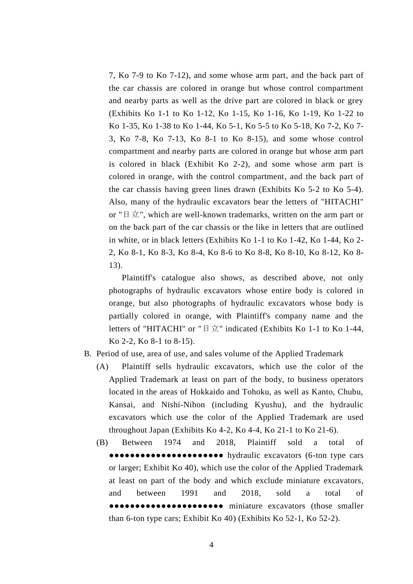7, Ko 7-9 to Ko 7-12), and some whose arm part, and the back part of the car chassis are colored in orange but whose control compartment and nearby parts as well as the drive part are colored in black or grey (Exhibits Ko 1-1 to Ko 1-12, Ko 1-15, Ko 1-16, Ko 1-19, Ko 1-22 to Ko 1-35, Ko 1-38 to Ko 1-44, Ko 5-1, Ko 5-5 to Ko 5-18, Ko 7-2, Ko 7- 3, Ko 7-8, Ko 7-13, Ko 8-1 to Ko 8-15), and some whose control compartment and nearby parts are colored in orange but whose arm part is colored in black (Exhibit Ko 2-2), and some whose arm part is colored in orange, with the control compartment, and the back part of the car chassis having green lines drawn (Exhibits Ko 5-2 to Ko 5-4). Also, many of the hydraulic excavators bear the letters of "HITACHI" or " $\exists \pm$ ", which are well-known trademarks, written on the arm part or on the back part of the car chassis or the like in letters that are outlined in white, or in black letters (Exhibits Ko 1-1 to Ko 1-42, Ko 1-44, Ko 2- 2, Ko 8-1, Ko 8-3, Ko 8-4, Ko 8-6 to Ko 8-8, Ko 8-10, Ko 8-12, Ko 8- 13).

 Plaintiff's catalogue also shows, as described above, not only photographs of hydraulic excavators whose entire body is colored in orange, but also photographs of hydraulic excavators whose body is partially colored in orange, with Plaintiff's company name and the letters of "HITACHI" or "日立" indicated (Exhibits Ko 1-1 to Ko 1-44, Ko 2-2, Ko 8-1 to 8-15).

- B. Period of use, area of use, and sales volume of the Applied Trademark
	- (A) Plaintiff sells hydraulic excavators, which use the color of the Applied Trademark at least on part of the body, to business operators located in the areas of Hokkaido and Tohoku, as well as Kanto, Chubu, Kansai, and Nishi-Nihon (including Kyushu), and the hydraulic excavators which use the color of the Applied Trademark are used throughout Japan (Exhibits Ko 4-2, Ko 4-4, Ko 21-1 to Ko 21-6).
	- (B) Between 1974 and 2018, Plaintiff sold a total of ●●●●●●●● hydraulic excavators (6-ton type cars or larger; Exhibit Ko 40), which use the color of the Applied Trademark at least on part of the body and which exclude miniature excavators, and between 1991 and 2018, sold a total of ●●●●●● miniature excavators (those smaller than 6-ton type cars; Exhibit Ko 40) (Exhibits Ko 52-1, Ko 52-2).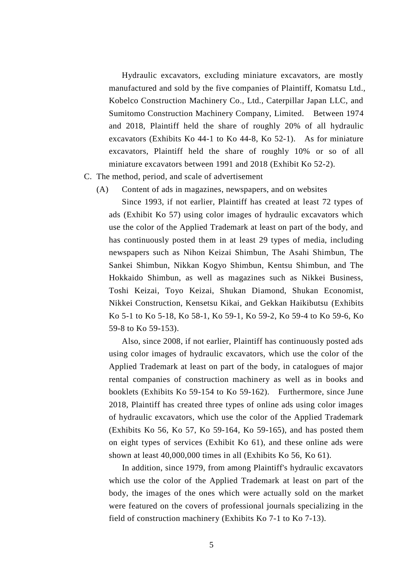Hydraulic excavators, excluding miniature excavators, are mostly manufactured and sold by the five companies of Plaintiff, Komatsu Ltd., Kobelco Construction Machinery Co., Ltd., Caterpillar Japan LLC, and Sumitomo Construction Machinery Company, Limited. Between 1974 and 2018, Plaintiff held the share of roughly 20% of all hydraulic excavators (Exhibits Ko 44-1 to Ko 44-8, Ko 52-1). As for miniature excavators, Plaintiff held the share of roughly 10% or so of all miniature excavators between 1991 and 2018 (Exhibit Ko 52-2).

#### C. The method, period, and scale of advertisement

(A) Content of ads in magazines, newspapers, and on websites

 Since 1993, if not earlier, Plaintiff has created at least 72 types of ads (Exhibit Ko 57) using color images of hydraulic excavators which use the color of the Applied Trademark at least on part of the body, and has continuously posted them in at least 29 types of media, including newspapers such as Nihon Keizai Shimbun, The Asahi Shimbun, The Sankei Shimbun, Nikkan Kogyo Shimbun, Kentsu Shimbun, and The Hokkaido Shimbun, as well as magazines such as Nikkei Business, Toshi Keizai, Toyo Keizai, Shukan Diamond, Shukan Economist, Nikkei Construction, Kensetsu Kikai, and Gekkan Haikibutsu (Exhibits Ko 5-1 to Ko 5-18, Ko 58-1, Ko 59-1, Ko 59-2, Ko 59-4 to Ko 59-6, Ko 59-8 to Ko 59-153).

 Also, since 2008, if not earlier, Plaintiff has continuously posted ads using color images of hydraulic excavators, which use the color of the Applied Trademark at least on part of the body, in catalogues of major rental companies of construction machinery as well as in books and booklets (Exhibits Ko 59-154 to Ko 59-162). Furthermore, since June 2018, Plaintiff has created three types of online ads using color images of hydraulic excavators, which use the color of the Applied Trademark (Exhibits Ko 56, Ko 57, Ko 59-164, Ko 59-165), and has posted them on eight types of services (Exhibit Ko 61), and these online ads were shown at least 40,000,000 times in all (Exhibits Ko 56, Ko 61).

 In addition, since 1979, from among Plaintiff's hydraulic excavators which use the color of the Applied Trademark at least on part of the body, the images of the ones which were actually sold on the market were featured on the covers of professional journals specializing in the field of construction machinery (Exhibits Ko 7-1 to Ko 7-13).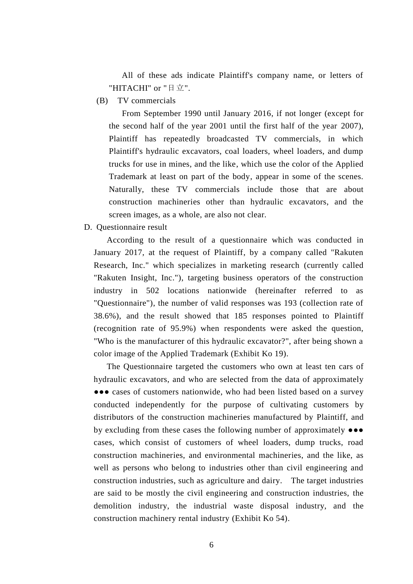All of these ads indicate Plaintiff's company name, or letters of "HITACHI" or "日立".

(B) TV commercials

 From September 1990 until January 2016, if not longer (except for the second half of the year 2001 until the first half of the year 2007), Plaintiff has repeatedly broadcasted TV commercials, in which Plaintiff's hydraulic excavators, coal loaders, wheel loaders, and dump trucks for use in mines, and the like, which use the color of the Applied Trademark at least on part of the body, appear in some of the scenes. Naturally, these TV commercials include those that are about construction machineries other than hydraulic excavators, and the screen images, as a whole, are also not clear.

D. Questionnaire result

 According to the result of a questionnaire which was conducted in January 2017, at the request of Plaintiff, by a company called "Rakuten Research, Inc." which specializes in marketing research (currently called "Rakuten Insight, Inc."), targeting business operators of the construction industry in 502 locations nationwide (hereinafter referred to as "Questionnaire"), the number of valid responses was 193 (collection rate of 38.6%), and the result showed that 185 responses pointed to Plaintiff (recognition rate of 95.9%) when respondents were asked the question, "Who is the manufacturer of this hydraulic excavator?", after being shown a color image of the Applied Trademark (Exhibit Ko 19).

 The Questionnaire targeted the customers who own at least ten cars of hydraulic excavators, and who are selected from the data of approximately ●●● cases of customers nationwide, who had been listed based on a survey conducted independently for the purpose of cultivating customers by distributors of the construction machineries manufactured by Plaintiff, and by excluding from these cases the following number of approximately ●●● cases, which consist of customers of wheel loaders, dump trucks, road construction machineries, and environmental machineries, and the like, as well as persons who belong to industries other than civil engineering and construction industries, such as agriculture and dairy. The target industries are said to be mostly the civil engineering and construction industries, the demolition industry, the industrial waste disposal industry, and the construction machinery rental industry (Exhibit Ko 54).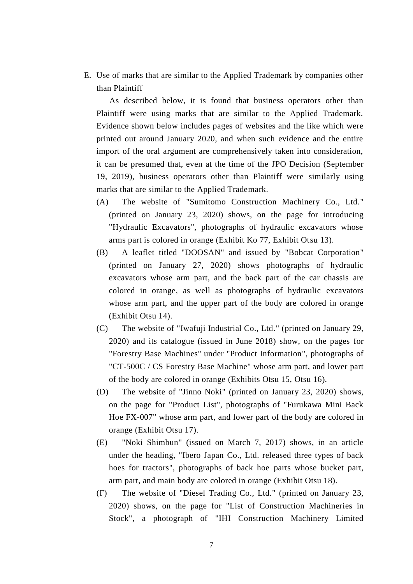E. Use of marks that are similar to the Applied Trademark by companies other than Plaintiff

 As described below, it is found that business operators other than Plaintiff were using marks that are similar to the Applied Trademark. Evidence shown below includes pages of websites and the like which were printed out around January 2020, and when such evidence and the entire import of the oral argument are comprehensively taken into consideration, it can be presumed that, even at the time of the JPO Decision (September 19, 2019), business operators other than Plaintiff were similarly using marks that are similar to the Applied Trademark.

- (A) The website of "Sumitomo Construction Machinery Co., Ltd." (printed on January 23, 2020) shows, on the page for introducing "Hydraulic Excavators", photographs of hydraulic excavators whose arms part is colored in orange (Exhibit Ko 77, Exhibit Otsu 13).
- (B) A leaflet titled "DOOSAN" and issued by "Bobcat Corporation" (printed on January 27, 2020) shows photographs of hydraulic excavators whose arm part, and the back part of the car chassis are colored in orange, as well as photographs of hydraulic excavators whose arm part, and the upper part of the body are colored in orange (Exhibit Otsu 14).
- (C) The website of "Iwafuji Industrial Co., Ltd." (printed on January 29, 2020) and its catalogue (issued in June 2018) show, on the pages for "Forestry Base Machines" under "Product Information", photographs of "CT-500C / CS Forestry Base Machine" whose arm part, and lower part of the body are colored in orange (Exhibits Otsu 15, Otsu 16).
- (D) The website of "Jinno Noki" (printed on January 23, 2020) shows, on the page for "Product List", photographs of "Furukawa Mini Back Hoe FX-007" whose arm part, and lower part of the body are colored in orange (Exhibit Otsu 17).
- (E) "Noki Shimbun" (issued on March 7, 2017) shows, in an article under the heading, "Ibero Japan Co., Ltd. released three types of back hoes for tractors", photographs of back hoe parts whose bucket part, arm part, and main body are colored in orange (Exhibit Otsu 18).
- (F) The website of "Diesel Trading Co., Ltd." (printed on January 23, 2020) shows, on the page for "List of Construction Machineries in Stock", a photograph of "IHI Construction Machinery Limited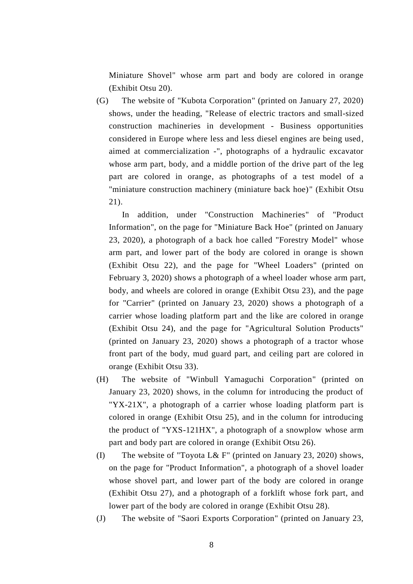Miniature Shovel" whose arm part and body are colored in orange (Exhibit Otsu 20).

(G) The website of "Kubota Corporation" (printed on January 27, 2020) shows, under the heading, "Release of electric tractors and small-sized construction machineries in development - Business opportunities considered in Europe where less and less diesel engines are being used, aimed at commercialization -", photographs of a hydraulic excavator whose arm part, body, and a middle portion of the drive part of the leg part are colored in orange, as photographs of a test model of a "miniature construction machinery (miniature back hoe)" (Exhibit Otsu 21).

 In addition, under "Construction Machineries" of "Product Information", on the page for "Miniature Back Hoe" (printed on January 23, 2020), a photograph of a back hoe called "Forestry Model" whose arm part, and lower part of the body are colored in orange is shown (Exhibit Otsu 22), and the page for "Wheel Loaders" (printed on February 3, 2020) shows a photograph of a wheel loader whose arm part, body, and wheels are colored in orange (Exhibit Otsu 23), and the page for "Carrier" (printed on January 23, 2020) shows a photograph of a carrier whose loading platform part and the like are colored in orange (Exhibit Otsu 24), and the page for "Agricultural Solution Products" (printed on January 23, 2020) shows a photograph of a tractor whose front part of the body, mud guard part, and ceiling part are colored in orange (Exhibit Otsu 33).

- (H) The website of "Winbull Yamaguchi Corporation" (printed on January 23, 2020) shows, in the column for introducing the product of "YX-21X", a photograph of a carrier whose loading platform part is colored in orange (Exhibit Otsu 25), and in the column for introducing the product of "YXS-121HX", a photograph of a snowplow whose arm part and body part are colored in orange (Exhibit Otsu 26).
- (I) The website of "Toyota L& F" (printed on January 23, 2020) shows, on the page for "Product Information", a photograph of a shovel loader whose shovel part, and lower part of the body are colored in orange (Exhibit Otsu 27), and a photograph of a forklift whose fork part, and lower part of the body are colored in orange (Exhibit Otsu 28).
- (J) The website of "Saori Exports Corporation" (printed on January 23,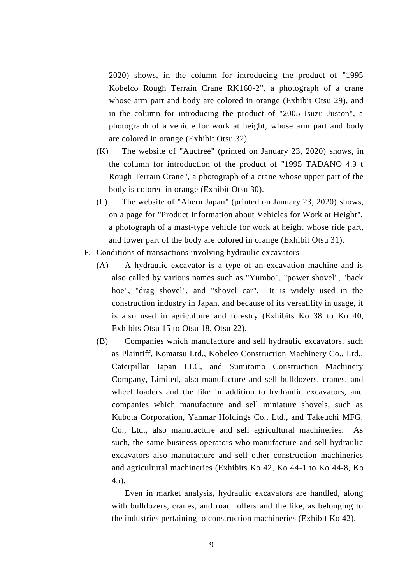2020) shows, in the column for introducing the product of "1995 Kobelco Rough Terrain Crane RK160-2", a photograph of a crane whose arm part and body are colored in orange (Exhibit Otsu 29), and in the column for introducing the product of "2005 Isuzu Juston", a photograph of a vehicle for work at height, whose arm part and body are colored in orange (Exhibit Otsu 32).

- (K) The website of "Aucfree" (printed on January 23, 2020) shows, in the column for introduction of the product of "1995 TADANO 4.9 t Rough Terrain Crane", a photograph of a crane whose upper part of the body is colored in orange (Exhibit Otsu 30).
- (L) The website of "Ahern Japan" (printed on January 23, 2020) shows, on a page for "Product Information about Vehicles for Work at Height", a photograph of a mast-type vehicle for work at height whose ride part, and lower part of the body are colored in orange (Exhibit Otsu 31).
- F. Conditions of transactions involving hydraulic excavators
	- (A) A hydraulic excavator is a type of an excavation machine and is also called by various names such as "Yumbo", "power shovel", "back hoe", "drag shovel", and "shovel car". It is widely used in the construction industry in Japan, and because of its versatility in usage, it is also used in agriculture and forestry (Exhibits Ko 38 to Ko 40, Exhibits Otsu 15 to Otsu 18, Otsu 22).
	- (B) Companies which manufacture and sell hydraulic excavators, such as Plaintiff, Komatsu Ltd., Kobelco Construction Machinery Co., Ltd., Caterpillar Japan LLC, and Sumitomo Construction Machinery Company, Limited, also manufacture and sell bulldozers, cranes, and wheel loaders and the like in addition to hydraulic excavators, and companies which manufacture and sell miniature shovels, such as Kubota Corporation, Yanmar Holdings Co., Ltd., and Takeuchi MFG. Co., Ltd., also manufacture and sell agricultural machineries. As such, the same business operators who manufacture and sell hydraulic excavators also manufacture and sell other construction machineries and agricultural machineries (Exhibits Ko 42, Ko 44-1 to Ko 44-8, Ko 45).

 Even in market analysis, hydraulic excavators are handled, along with bulldozers, cranes, and road rollers and the like, as belonging to the industries pertaining to construction machineries (Exhibit Ko 42).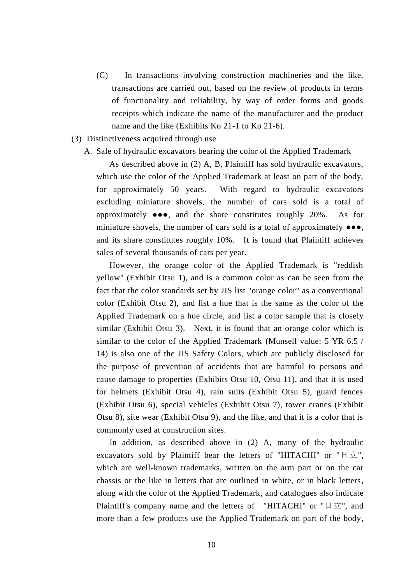- (C) In transactions involving construction machineries and the like, transactions are carried out, based on the review of products in terms of functionality and reliability, by way of order forms and goods receipts which indicate the name of the manufacturer and the product name and the like (Exhibits Ko 21-1 to Ko 21-6).
- (3) Distinctiveness acquired through use
	- A. Sale of hydraulic excavators bearing the color of the Applied Trademark

 As described above in (2) A, B, Plaintiff has sold hydraulic excavators, which use the color of the Applied Trademark at least on part of the body, for approximately 50 years. With regard to hydraulic excavators excluding miniature shovels, the number of cars sold is a total of approximately ●●●, and the share constitutes roughly 20%. As for miniature shovels, the number of cars sold is a total of approximately  $\bullet \bullet \bullet$ , and its share constitutes roughly 10%. It is found that Plaintiff achieves sales of several thousands of cars per year.

 However, the orange color of the Applied Trademark is "reddish yellow" (Exhibit Otsu 1), and is a common color as can be seen from the fact that the color standards set by JIS list "orange color" as a conventional color (Exhibit Otsu 2), and list a hue that is the same as the color of the Applied Trademark on a hue circle, and list a color sample that is closely similar (Exhibit Otsu 3). Next, it is found that an orange color which is similar to the color of the Applied Trademark (Munsell value: 5 YR 6.5 / 14) is also one of the JIS Safety Colors, which are publicly disclosed for the purpose of prevention of accidents that are harmful to persons and cause damage to properties (Exhibits Otsu 10, Otsu 11), and that it is used for helmets (Exhibit Otsu 4), rain suits (Exhibit Otsu 5), guard fences (Exhibit Otsu 6), special vehicles (Exhibit Otsu 7), tower cranes (Exhibit Otsu 8), site wear (Exhibit Otsu 9), and the like, and that it is a color that is commonly used at construction sites.

 In addition, as described above in (2) A, many of the hydraulic excavators sold by Plaintiff bear the letters of "HITACHI" or " $\exists \pm$ ", which are well-known trademarks, written on the arm part or on the car chassis or the like in letters that are outlined in white, or in black letters, along with the color of the Applied Trademark, and catalogues also indicate Plaintiff's company name and the letters of "HITACHI" or " $\exists \vec{\pm}$ ", and more than a few products use the Applied Trademark on part of the body,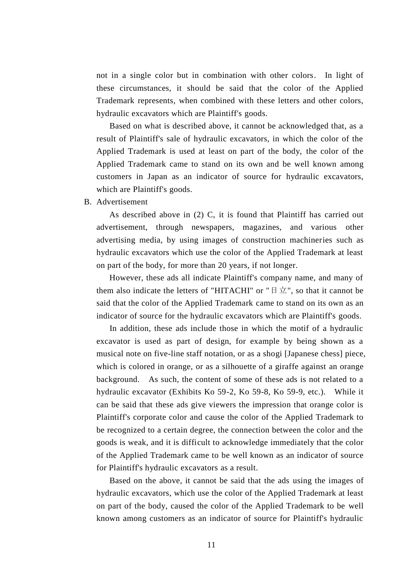not in a single color but in combination with other colors. In light of these circumstances, it should be said that the color of the Applied Trademark represents, when combined with these letters and other colors, hydraulic excavators which are Plaintiff's goods.

 Based on what is described above, it cannot be acknowledged that, as a result of Plaintiff's sale of hydraulic excavators, in which the color of the Applied Trademark is used at least on part of the body, the color of the Applied Trademark came to stand on its own and be well known among customers in Japan as an indicator of source for hydraulic excavators, which are Plaintiff's goods.

B. Advertisement

 As described above in (2) C, it is found that Plaintiff has carried out advertisement, through newspapers, magazines, and various other advertising media, by using images of construction machineries such as hydraulic excavators which use the color of the Applied Trademark at least on part of the body, for more than 20 years, if not longer.

 However, these ads all indicate Plaintiff's company name, and many of them also indicate the letters of "HITACHI" or " $\exists \pm$ ", so that it cannot be said that the color of the Applied Trademark came to stand on its own as an indicator of source for the hydraulic excavators which are Plaintiff's goods.

 In addition, these ads include those in which the motif of a hydraulic excavator is used as part of design, for example by being shown as a musical note on five-line staff notation, or as a shogi [Japanese chess] piece, which is colored in orange, or as a silhouette of a giraffe against an orange background. As such, the content of some of these ads is not related to a hydraulic excavator (Exhibits Ko 59-2, Ko 59-8, Ko 59-9, etc.). While it can be said that these ads give viewers the impression that orange color is Plaintiff's corporate color and cause the color of the Applied Trademark to be recognized to a certain degree, the connection between the color and the goods is weak, and it is difficult to acknowledge immediately that the color of the Applied Trademark came to be well known as an indicator of source for Plaintiff's hydraulic excavators as a result.

 Based on the above, it cannot be said that the ads using the images of hydraulic excavators, which use the color of the Applied Trademark at least on part of the body, caused the color of the Applied Trademark to be well known among customers as an indicator of source for Plaintiff's hydraulic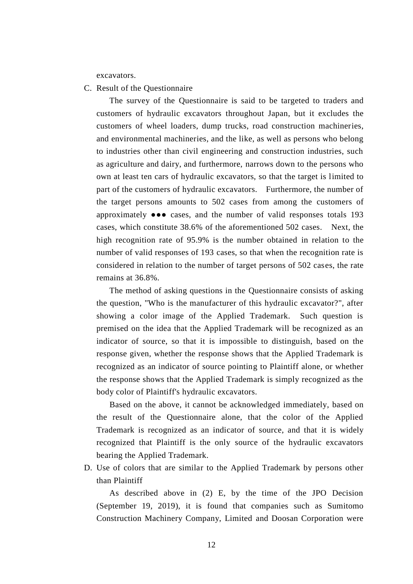excavators.

C. Result of the Questionnaire

 The survey of the Questionnaire is said to be targeted to traders and customers of hydraulic excavators throughout Japan, but it excludes the customers of wheel loaders, dump trucks, road construction machineries, and environmental machineries, and the like, as well as persons who belong to industries other than civil engineering and construction industries, such as agriculture and dairy, and furthermore, narrows down to the persons who own at least ten cars of hydraulic excavators, so that the target is limited to part of the customers of hydraulic excavators. Furthermore, the number of the target persons amounts to 502 cases from among the customers of approximately ●●● cases, and the number of valid responses totals 193 cases, which constitute 38.6% of the aforementioned 502 cases. Next, the high recognition rate of 95.9% is the number obtained in relation to the number of valid responses of 193 cases, so that when the recognition rate is considered in relation to the number of target persons of 502 cases, the rate remains at 36.8%.

 The method of asking questions in the Questionnaire consists of asking the question, "Who is the manufacturer of this hydraulic excavator?", after showing a color image of the Applied Trademark. Such question is premised on the idea that the Applied Trademark will be recognized as an indicator of source, so that it is impossible to distinguish, based on the response given, whether the response shows that the Applied Trademark is recognized as an indicator of source pointing to Plaintiff alone, or whether the response shows that the Applied Trademark is simply recognized as the body color of Plaintiff's hydraulic excavators.

 Based on the above, it cannot be acknowledged immediately, based on the result of the Questionnaire alone, that the color of the Applied Trademark is recognized as an indicator of source, and that it is widely recognized that Plaintiff is the only source of the hydraulic excavators bearing the Applied Trademark.

D. Use of colors that are similar to the Applied Trademark by persons other than Plaintiff

 As described above in (2) E, by the time of the JPO Decision (September 19, 2019), it is found that companies such as Sumitomo Construction Machinery Company, Limited and Doosan Corporation were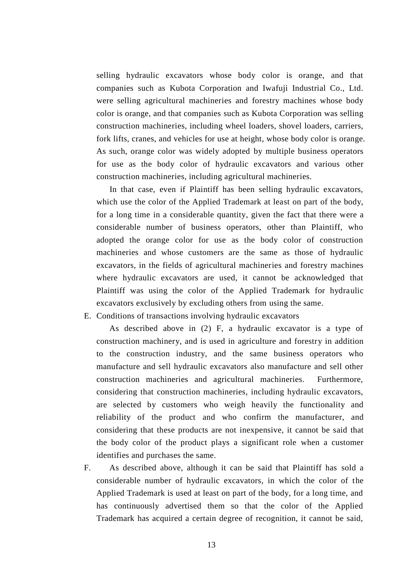selling hydraulic excavators whose body color is orange, and that companies such as Kubota Corporation and Iwafuji Industrial Co., Ltd. were selling agricultural machineries and forestry machines whose body color is orange, and that companies such as Kubota Corporation was selling construction machineries, including wheel loaders, shovel loaders, carriers, fork lifts, cranes, and vehicles for use at height, whose body color is orange. As such, orange color was widely adopted by multiple business operators for use as the body color of hydraulic excavators and various other construction machineries, including agricultural machineries.

 In that case, even if Plaintiff has been selling hydraulic excavators, which use the color of the Applied Trademark at least on part of the body, for a long time in a considerable quantity, given the fact that there were a considerable number of business operators, other than Plaintiff, who adopted the orange color for use as the body color of construction machineries and whose customers are the same as those of hydraulic excavators, in the fields of agricultural machineries and forestry machines where hydraulic excavators are used, it cannot be acknowledged that Plaintiff was using the color of the Applied Trademark for hydraulic excavators exclusively by excluding others from using the same.

E. Conditions of transactions involving hydraulic excavators

 As described above in (2) F, a hydraulic excavator is a type of construction machinery, and is used in agriculture and forestry in addition to the construction industry, and the same business operators who manufacture and sell hydraulic excavators also manufacture and sell other construction machineries and agricultural machineries. Furthermore, considering that construction machineries, including hydraulic excavators, are selected by customers who weigh heavily the functionality and reliability of the product and who confirm the manufacturer, and considering that these products are not inexpensive, it cannot be said that the body color of the product plays a significant role when a customer identifies and purchases the same.

F. As described above, although it can be said that Plaintiff has sold a considerable number of hydraulic excavators, in which the color of the Applied Trademark is used at least on part of the body, for a long time, and has continuously advertised them so that the color of the Applied Trademark has acquired a certain degree of recognition, it cannot be said,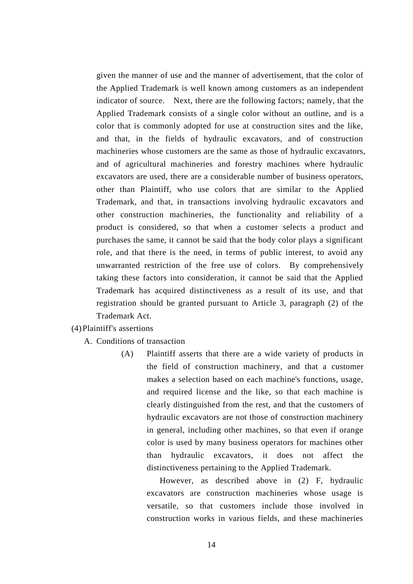given the manner of use and the manner of advertisement, that the color of the Applied Trademark is well known among customers as an independent indicator of source. Next, there are the following factors; namely, that the Applied Trademark consists of a single color without an outline, and is a color that is commonly adopted for use at construction sites and the like, and that, in the fields of hydraulic excavators, and of construction machineries whose customers are the same as those of hydraulic excavators, and of agricultural machineries and forestry machines where hydraulic excavators are used, there are a considerable number of business operators, other than Plaintiff, who use colors that are similar to the Applied Trademark, and that, in transactions involving hydraulic excavators and other construction machineries, the functionality and reliability of a product is considered, so that when a customer selects a product and purchases the same, it cannot be said that the body color plays a significant role, and that there is the need, in terms of public interest, to avoid any unwarranted restriction of the free use of colors. By comprehensively taking these factors into consideration, it cannot be said that the Applied Trademark has acquired distinctiveness as a result of its use, and that registration should be granted pursuant to Article 3, paragraph (2) of the Trademark Act.

#### (4)Plaintiff's assertions

- A. Conditions of transaction
	- (A) Plaintiff asserts that there are a wide variety of products in the field of construction machinery, and that a customer makes a selection based on each machine's functions, usage, and required license and the like, so that each machine is clearly distinguished from the rest, and that the customers of hydraulic excavators are not those of construction machinery in general, including other machines, so that even if orange color is used by many business operators for machines other than hydraulic excavators, it does not affect the distinctiveness pertaining to the Applied Trademark.

 However, as described above in (2) F, hydraulic excavators are construction machineries whose usage is versatile, so that customers include those involved in construction works in various fields, and these machineries

14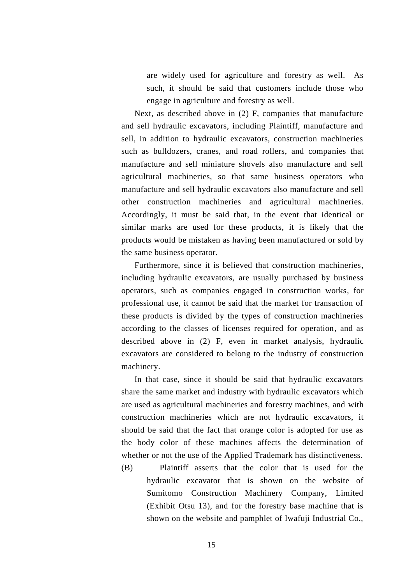are widely used for agriculture and forestry as well. As such, it should be said that customers include those who engage in agriculture and forestry as well.

 Next, as described above in (2) F, companies that manufacture and sell hydraulic excavators, including Plaintiff, manufacture and sell, in addition to hydraulic excavators, construction machineries such as bulldozers, cranes, and road rollers, and companies that manufacture and sell miniature shovels also manufacture and sell agricultural machineries, so that same business operators who manufacture and sell hydraulic excavators also manufacture and sell other construction machineries and agricultural machineries. Accordingly, it must be said that, in the event that identical or similar marks are used for these products, it is likely that the products would be mistaken as having been manufactured or sold by the same business operator.

 Furthermore, since it is believed that construction machineries, including hydraulic excavators, are usually purchased by business operators, such as companies engaged in construction works, for professional use, it cannot be said that the market for transaction of these products is divided by the types of construction machineries according to the classes of licenses required for operation, and as described above in (2) F, even in market analysis, hydraulic excavators are considered to belong to the industry of construction machinery.

 In that case, since it should be said that hydraulic excavators share the same market and industry with hydraulic excavators which are used as agricultural machineries and forestry machines, and with construction machineries which are not hydraulic excavators, it should be said that the fact that orange color is adopted for use as the body color of these machines affects the determination of whether or not the use of the Applied Trademark has distinctiveness.

(B) Plaintiff asserts that the color that is used for the hydraulic excavator that is shown on the website of Sumitomo Construction Machinery Company, Limited (Exhibit Otsu 13), and for the forestry base machine that is shown on the website and pamphlet of Iwafuji Industrial Co.,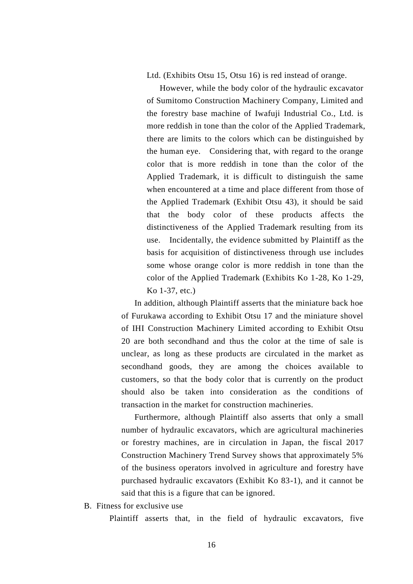Ltd. (Exhibits Otsu 15, Otsu 16) is red instead of orange.

 However, while the body color of the hydraulic excavator of Sumitomo Construction Machinery Company, Limited and the forestry base machine of Iwafuji Industrial Co., Ltd. is more reddish in tone than the color of the Applied Trademark, there are limits to the colors which can be distinguished by the human eye. Considering that, with regard to the orange color that is more reddish in tone than the color of the Applied Trademark, it is difficult to distinguish the same when encountered at a time and place different from those of the Applied Trademark (Exhibit Otsu 43), it should be said that the body color of these products affects the distinctiveness of the Applied Trademark resulting from its use. Incidentally, the evidence submitted by Plaintiff as the basis for acquisition of distinctiveness through use includes some whose orange color is more reddish in tone than the color of the Applied Trademark (Exhibits Ko 1-28, Ko 1-29, Ko 1-37, etc.)

 In addition, although Plaintiff asserts that the miniature back hoe of Furukawa according to Exhibit Otsu 17 and the miniature shovel of IHI Construction Machinery Limited according to Exhibit Otsu 20 are both secondhand and thus the color at the time of sale is unclear, as long as these products are circulated in the market as secondhand goods, they are among the choices available to customers, so that the body color that is currently on the product should also be taken into consideration as the conditions of transaction in the market for construction machineries.

 Furthermore, although Plaintiff also asserts that only a small number of hydraulic excavators, which are agricultural machineries or forestry machines, are in circulation in Japan, the fiscal 2017 Construction Machinery Trend Survey shows that approximately 5% of the business operators involved in agriculture and forestry have purchased hydraulic excavators (Exhibit Ko 83-1), and it cannot be said that this is a figure that can be ignored.

B. Fitness for exclusive use

Plaintiff asserts that, in the field of hydraulic excavators, five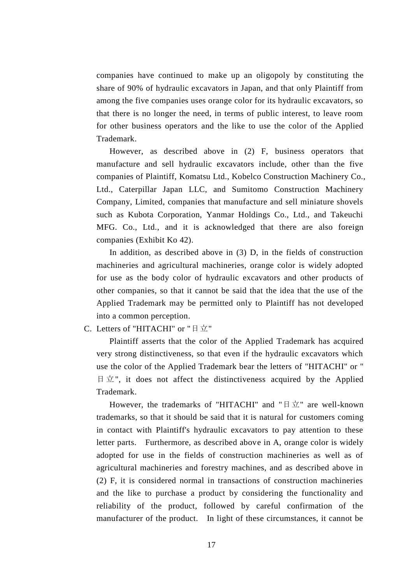companies have continued to make up an oligopoly by constituting the share of 90% of hydraulic excavators in Japan, and that only Plaintiff from among the five companies uses orange color for its hydraulic excavators, so that there is no longer the need, in terms of public interest, to leave room for other business operators and the like to use the color of the Applied Trademark.

However, as described above in (2) F, business operators that manufacture and sell hydraulic excavators include, other than the five companies of Plaintiff, Komatsu Ltd., Kobelco Construction Machinery Co., Ltd., Caterpillar Japan LLC, and Sumitomo Construction Machinery Company, Limited, companies that manufacture and sell miniature shovels such as Kubota Corporation, Yanmar Holdings Co., Ltd., and Takeuchi MFG. Co., Ltd., and it is acknowledged that there are also foreign companies (Exhibit Ko 42).

In addition, as described above in (3) D, in the fields of construction machineries and agricultural machineries, orange color is widely adopted for use as the body color of hydraulic excavators and other products of other companies, so that it cannot be said that the idea that the use of the Applied Trademark may be permitted only to Plaintiff has not developed into a common perception.

## C. Letters of "HITACHI" or "日立"

 Plaintiff asserts that the color of the Applied Trademark has acquired very strong distinctiveness, so that even if the hydraulic excavators which use the color of the Applied Trademark bear the letters of "HITACHI" or "  $\exists \pm$ ", it does not affect the distinctiveness acquired by the Applied Trademark.

However, the trademarks of "HITACHI" and " $\exists \vec{x}$ " are well-known trademarks, so that it should be said that it is natural for customers coming in contact with Plaintiff's hydraulic excavators to pay attention to these letter parts. Furthermore, as described above in A, orange color is widely adopted for use in the fields of construction machineries as well as of agricultural machineries and forestry machines, and as described above in (2) F, it is considered normal in transactions of construction machineries and the like to purchase a product by considering the functionality and reliability of the product, followed by careful confirmation of the manufacturer of the product. In light of these circumstances, it cannot be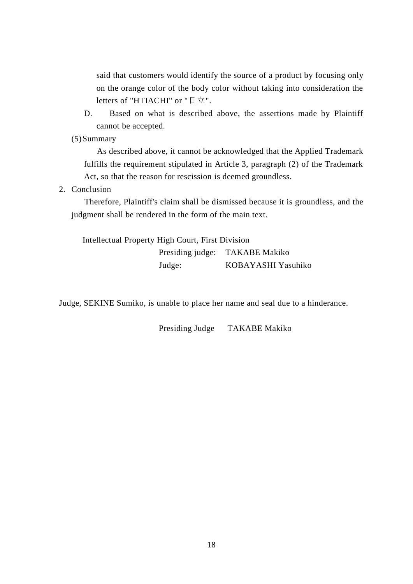said that customers would identify the source of a product by focusing only on the orange color of the body color without taking into consideration the letters of "HTIACHI" or "日立".

- D. Based on what is described above, the assertions made by Plaintiff cannot be accepted.
- (5)Summary

 As described above, it cannot be acknowledged that the Applied Trademark fulfills the requirement stipulated in Article 3, paragraph (2) of the Trademark Act, so that the reason for rescission is deemed groundless.

2. Conclusion

 Therefore, Plaintiff's claim shall be dismissed because it is groundless, and the judgment shall be rendered in the form of the main text.

Intellectual Property High Court, First Division Presiding judge: TAKABE Makiko Judge: KOBAYASHI Yasuhiko

Judge, SEKINE Sumiko, is unable to place her name and seal due to a hinderance.

Presiding Judge TAKABE Makiko